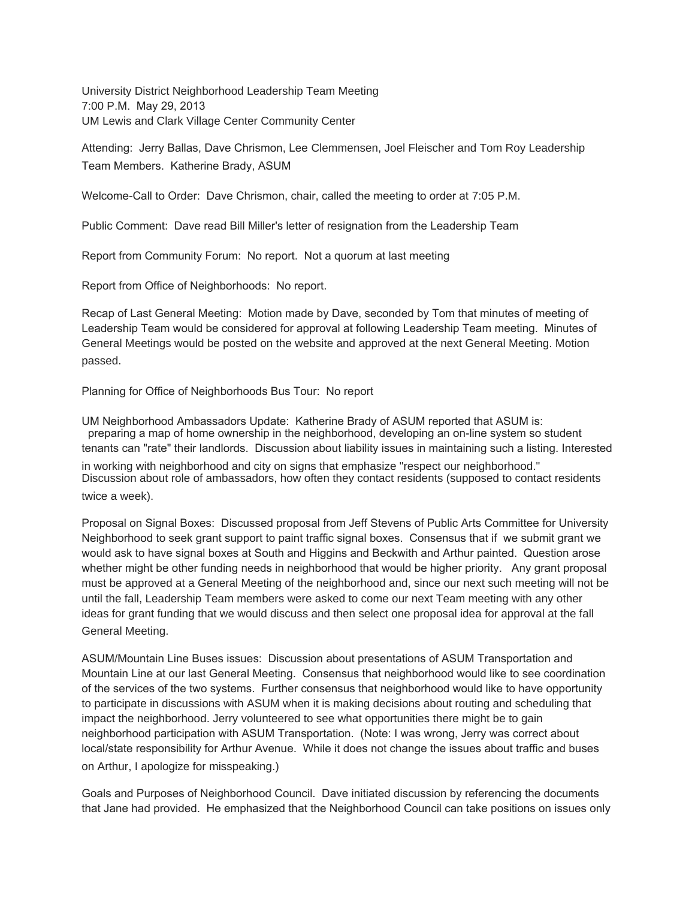University District Neighborhood Leadership Team Meeting 7:00 P.M. May 29, 2013 UM Lewis and Clark Village Center Community Center

Attending: Jerry Ballas, Dave Chrismon, Lee Clemmensen, Joel Fleischer and Tom Roy Leadership Team Members. Katherine Brady, ASUM

Welcome-Call to Order: Dave Chrismon, chair, called the meeting to order at 7:05 P.M.

Public Comment: Dave read Bill Miller's letter of resignation from the Leadership Team

Report from Community Forum: No report. Not a quorum at last meeting

Report from Office of Neighborhoods: No report.

Recap of Last General Meeting: Motion made by Dave, seconded by Tom that minutes of meeting of Leadership Team would be considered for approval at following Leadership Team meeting. Minutes of General Meetings would be posted on the website and approved at the next General Meeting. Motion passed.

Planning for Office of Neighborhoods Bus Tour: No report

UM Neighborhood Ambassadors Update: Katherine Brady of ASUM reported that ASUM is: preparing a map of home ownership in the neighborhood, developing an on-line system so student tenants can "rate" their landlords. Discussion about liability issues in maintaining such a listing. Interested in working with neighborhood and city on signs that emphasize "respect our neighborhood." Discussion about role of ambassadors, how often they contact residents (supposed to contact residents

twice a week).

Proposal on Signal Boxes: Discussed proposal from Jeff Stevens of Public Arts Committee for University Neighborhood to seek grant support to paint traffic signal boxes. Consensus that if we submit grant we would ask to have signal boxes at South and Higgins and Beckwith and Arthur painted. Question arose whether might be other funding needs in neighborhood that would be higher priority. Any grant proposal must be approved at a General Meeting of the neighborhood and, since our next such meeting will not be until the fall, Leadership Team members were asked to come our next Team meeting with any other ideas for grant funding that we would discuss and then select one proposal idea for approval at the fall General Meeting.

ASUM/Mountain Line Buses issues: Discussion about presentations of ASUM Transportation and Mountain Line at our last General Meeting. Consensus that neighborhood would like to see coordination of the services of the two systems. Further consensus that neighborhood would like to have opportunity to participate in discussions with ASUM when it is making decisions about routing and scheduling that impact the neighborhood. Jerry volunteered to see what opportunities there might be to gain neighborhood participation with ASUM Transportation. (Note: I was wrong, Jerry was correct about local/state responsibility for Arthur Avenue. While it does not change the issues about traffic and buses on Arthur, I apologize for misspeaking.)

Goals and Purposes of Neighborhood Council. Dave initiated discussion by referencing the documents that Jane had provided. He emphasized that the Neighborhood Council can take positions on issues only